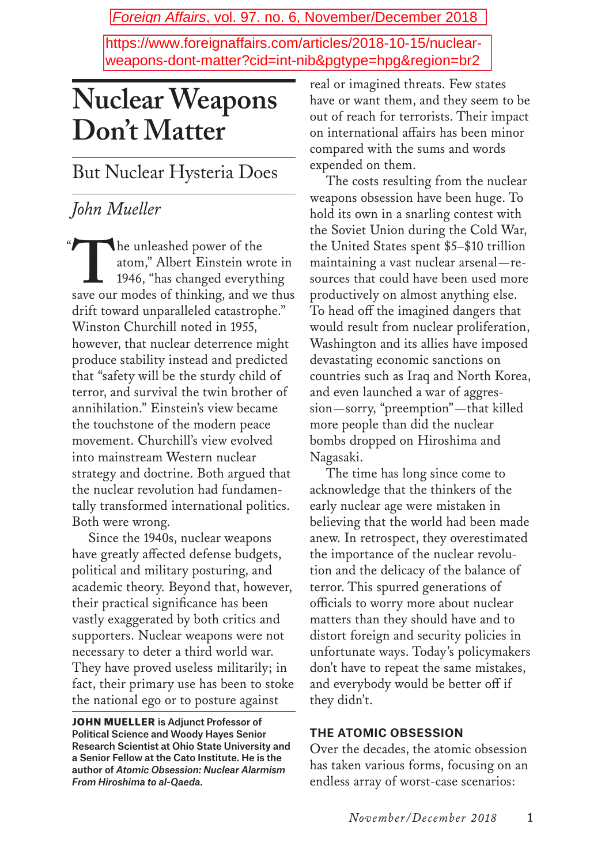Foreign Affairs, vol. 97. no. 6, November/December 2018

https://www.foreignaffairs.com/articles/2018-10-15/nuclearweapons-dont-matter?cid=int-nib&pgtype=hpg&region=br2

# **Nuclear Weapons Don't Matter**

But Nuclear Hysteria Does

### *John Mueller*

The unleashed power of the<br>atom," Albert Einstein wro<br>1946, "has changed everyth atom," Albert Einstein wrote in 1946, "has changed everything save our modes of thinking, and we thus drift toward unparalleled catastrophe." Winston Churchill noted in 1955, however, that nuclear deterrence might produce stability instead and predicted that "safety will be the sturdy child of terror, and survival the twin brother of annihilation." Einstein's view became the touchstone of the modern peace movement. Churchill's view evolved into mainstream Western nuclear strategy and doctrine. Both argued that the nuclear revolution had fundamentally transformed international politics. Both were wrong.  $\alpha$ 

Since the 1940s, nuclear weapons have greatly affected defense budgets, political and military posturing, and academic theory. Beyond that, however, their practical significance has been vastly exaggerated by both critics and supporters. Nuclear weapons were not necessary to deter a third world war. They have proved useless militarily; in fact, their primary use has been to stoke the national ego or to posture against

JOHN MUELLER is Adjunct Professor of Political Science and Woody Hayes Senior Research Scientist at Ohio State University and a Senior Fellow at the Cato Institute. He is the author of *Atomic Obsession: Nuclear Alarmism From Hiroshima to al-Qaeda.*

real or imagined threats. Few states have or want them, and they seem to be out of reach for terrorists. Their impact on international affairs has been minor compared with the sums and words expended on them.

The costs resulting from the nuclear weapons obsession have been huge. To hold its own in a snarling contest with the Soviet Union during the Cold War, the United States spent \$5–\$10 trillion maintaining a vast nuclear arsenal—resources that could have been used more productively on almost anything else. To head off the imagined dangers that would result from nuclear proliferation, Washington and its allies have imposed devastating economic sanctions on countries such as Iraq and North Korea, and even launched a war of aggression—sorry, "preemption"—that killed more people than did the nuclear bombs dropped on Hiroshima and Nagasaki.

The time has long since come to acknowledge that the thinkers of the early nuclear age were mistaken in believing that the world had been made anew. In retrospect, they overestimated the importance of the nuclear revolution and the delicacy of the balance of terror. This spurred generations of officials to worry more about nuclear matters than they should have and to distort foreign and security policies in unfortunate ways. Today's policymakers don't have to repeat the same mistakes, and everybody would be better off if they didn't.

### **THE ATOMIC OBSESSION**

Over the decades, the atomic obsession has taken various forms, focusing on an endless array of worst-case scenarios: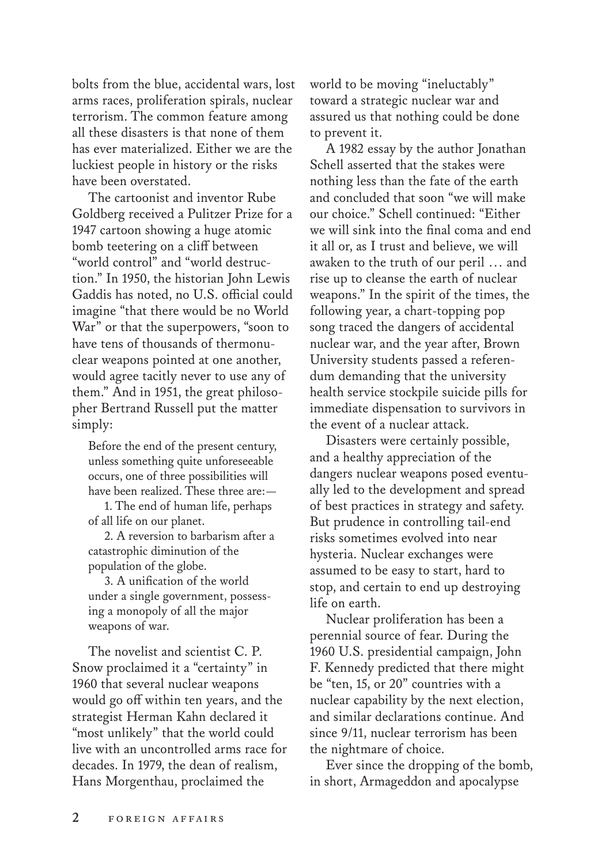bolts from the blue, accidental wars, lost arms races, proliferation spirals, nuclear terrorism. The common feature among all these disasters is that none of them has ever materialized. Either we are the luckiest people in history or the risks have been overstated.

The cartoonist and inventor Rube Goldberg received a Pulitzer Prize for a 1947 cartoon showing a huge atomic bomb teetering on a cliff between "world control" and "world destruction." In 1950, the historian John Lewis Gaddis has noted, no U.S. official could imagine "that there would be no World War" or that the superpowers, "soon to have tens of thousands of thermonuclear weapons pointed at one another, would agree tacitly never to use any of them." And in 1951, the great philosopher Bertrand Russell put the matter simply:

Before the end of the present century, unless something quite unforeseeable occurs, one of three possibilities will have been realized. These three are:—

1. The end of human life, perhaps of all life on our planet.

2. A reversion to barbarism after a catastrophic diminution of the population of the globe.

3. A unification of the world under a single government, possessing a monopoly of all the major weapons of war.

The novelist and scientist C. P. Snow proclaimed it a "certainty" in 1960 that several nuclear weapons would go off within ten years, and the strategist Herman Kahn declared it "most unlikely" that the world could live with an uncontrolled arms race for decades. In 1979, the dean of realism, Hans Morgenthau, proclaimed the

world to be moving "ineluctably" toward a strategic nuclear war and assured us that nothing could be done to prevent it.

A 1982 essay by the author Jonathan Schell asserted that the stakes were nothing less than the fate of the earth and concluded that soon "we will make our choice." Schell continued: "Either we will sink into the final coma and end it all or, as I trust and believe, we will awaken to the truth of our peril … and rise up to cleanse the earth of nuclear weapons." In the spirit of the times, the following year, a chart-topping pop song traced the dangers of accidental nuclear war, and the year after, Brown University students passed a referendum demanding that the university health service stockpile suicide pills for immediate dispensation to survivors in the event of a nuclear attack.

Disasters were certainly possible, and a healthy appreciation of the dangers nuclear weapons posed eventually led to the development and spread of best practices in strategy and safety. But prudence in controlling tail-end risks sometimes evolved into near hysteria. Nuclear exchanges were assumed to be easy to start, hard to stop, and certain to end up destroying life on earth.

Nuclear proliferation has been a perennial source of fear. During the 1960 U.S. presidential campaign, John F. Kennedy predicted that there might be "ten, 15, or 20" countries with a nuclear capability by the next election, and similar declarations continue. And since 9/11, nuclear terrorism has been the nightmare of choice.

Ever since the dropping of the bomb, in short, Armageddon and apocalypse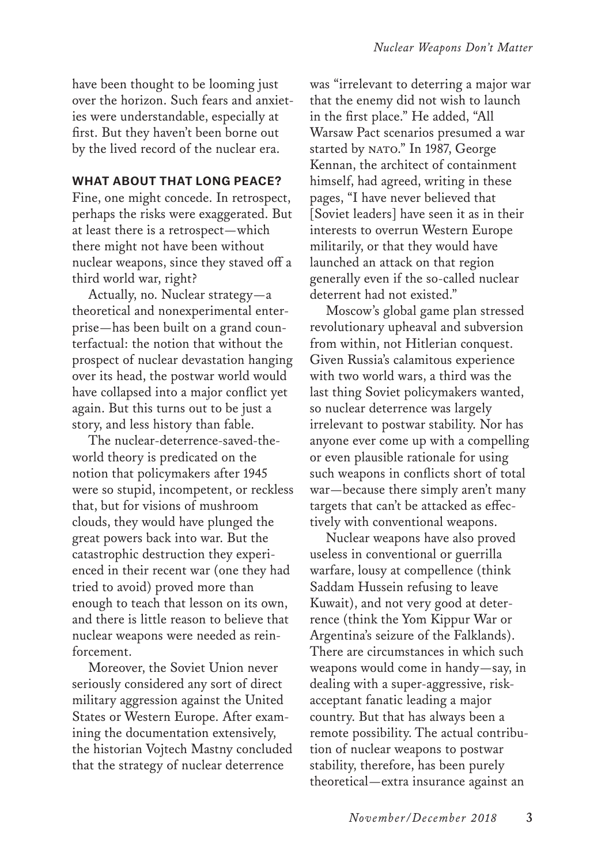have been thought to be looming just over the horizon. Such fears and anxieties were understandable, especially at first. But they haven't been borne out by the lived record of the nuclear era.

### **WHAT ABOUT THAT LONG PEACE?**

Fine, one might concede. In retrospect, perhaps the risks were exaggerated. But at least there is a retrospect—which there might not have been without nuclear weapons, since they staved off a third world war, right?

Actually, no. Nuclear strategy—a theoretical and nonexperimental enterprise—has been built on a grand counterfactual: the notion that without the prospect of nuclear devastation hanging over its head, the postwar world would have collapsed into a major conflict yet again. But this turns out to be just a story, and less history than fable.

The nuclear-deterrence-saved-theworld theory is predicated on the notion that policymakers after 1945 were so stupid, incompetent, or reckless that, but for visions of mushroom clouds, they would have plunged the great powers back into war. But the catastrophic destruction they experienced in their recent war (one they had tried to avoid) proved more than enough to teach that lesson on its own, and there is little reason to believe that nuclear weapons were needed as reinforcement.

Moreover, the Soviet Union never seriously considered any sort of direct military aggression against the United States or Western Europe. After examining the documentation extensively, the historian Vojtech Mastny concluded that the strategy of nuclear deterrence

was "irrelevant to deterring a major war that the enemy did not wish to launch in the first place." He added, "All Warsaw Pact scenarios presumed a war started by NATO." In 1987, George Kennan, the architect of containment himself, had agreed, writing in these pages, "I have never believed that [Soviet leaders] have seen it as in their interests to overrun Western Europe militarily, or that they would have launched an attack on that region generally even if the so-called nuclear deterrent had not existed."

Moscow's global game plan stressed revolutionary upheaval and subversion from within, not Hitlerian conquest. Given Russia's calamitous experience with two world wars, a third was the last thing Soviet policymakers wanted, so nuclear deterrence was largely irrelevant to postwar stability. Nor has anyone ever come up with a compelling or even plausible rationale for using such weapons in conflicts short of total war—because there simply aren't many targets that can't be attacked as effectively with conventional weapons.

Nuclear weapons have also proved useless in conventional or guerrilla warfare, lousy at compellence (think Saddam Hussein refusing to leave Kuwait), and not very good at deterrence (think the Yom Kippur War or Argentina's seizure of the Falklands). There are circumstances in which such weapons would come in handy—say, in dealing with a super-aggressive, riskacceptant fanatic leading a major country. But that has always been a remote possibility. The actual contribution of nuclear weapons to postwar stability, therefore, has been purely theoretical—extra insurance against an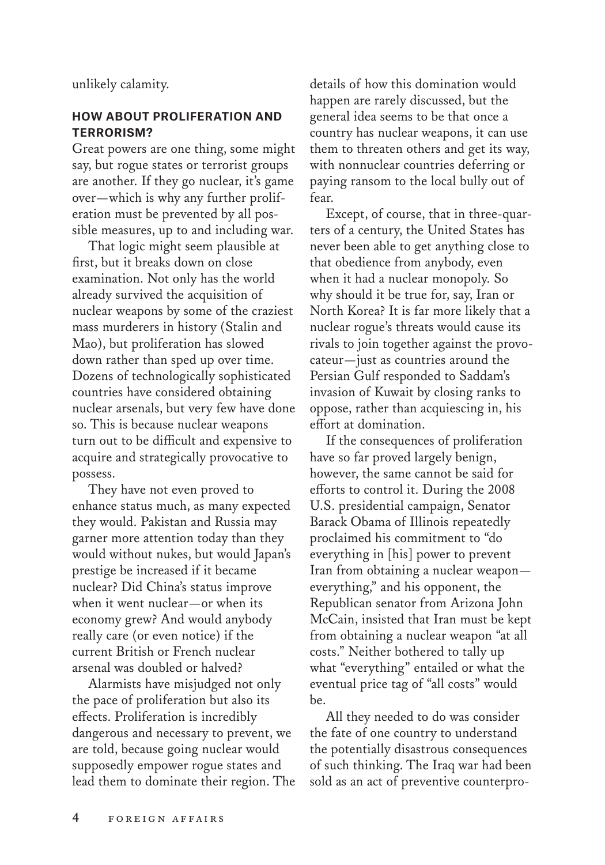unlikely calamity.

### **HOW ABOUT PROLIFERATION AND TERRORISM?**

Great powers are one thing, some might say, but rogue states or terrorist groups are another. If they go nuclear, it's game over—which is why any further proliferation must be prevented by all possible measures, up to and including war.

That logic might seem plausible at first, but it breaks down on close examination. Not only has the world already survived the acquisition of nuclear weapons by some of the craziest mass murderers in history (Stalin and Mao), but proliferation has slowed down rather than sped up over time. Dozens of technologically sophisticated countries have considered obtaining nuclear arsenals, but very few have done so. This is because nuclear weapons turn out to be difficult and expensive to acquire and strategically provocative to possess.

They have not even proved to enhance status much, as many expected they would. Pakistan and Russia may garner more attention today than they would without nukes, but would Japan's prestige be increased if it became nuclear? Did China's status improve when it went nuclear—or when its economy grew? And would anybody really care (or even notice) if the current British or French nuclear arsenal was doubled or halved?

Alarmists have misjudged not only the pace of proliferation but also its effects. Proliferation is incredibly dangerous and necessary to prevent, we are told, because going nuclear would supposedly empower rogue states and lead them to dominate their region. The details of how this domination would happen are rarely discussed, but the general idea seems to be that once a country has nuclear weapons, it can use them to threaten others and get its way, with nonnuclear countries deferring or paying ransom to the local bully out of fear.

Except, of course, that in three-quarters of a century, the United States has never been able to get anything close to that obedience from anybody, even when it had a nuclear monopoly. So why should it be true for, say, Iran or North Korea? It is far more likely that a nuclear rogue's threats would cause its rivals to join together against the provocateur—just as countries around the Persian Gulf responded to Saddam's invasion of Kuwait by closing ranks to oppose, rather than acquiescing in, his effort at domination.

If the consequences of proliferation have so far proved largely benign, however, the same cannot be said for efforts to control it. During the 2008 U.S. presidential campaign, Senator Barack Obama of Illinois repeatedly proclaimed his commitment to "do everything in [his] power to prevent Iran from obtaining a nuclear weapon everything," and his opponent, the Republican senator from Arizona John McCain, insisted that Iran must be kept from obtaining a nuclear weapon "at all costs." Neither bothered to tally up what "everything" entailed or what the eventual price tag of "all costs" would be.

All they needed to do was consider the fate of one country to understand the potentially disastrous consequences of such thinking. The Iraq war had been sold as an act of preventive counterpro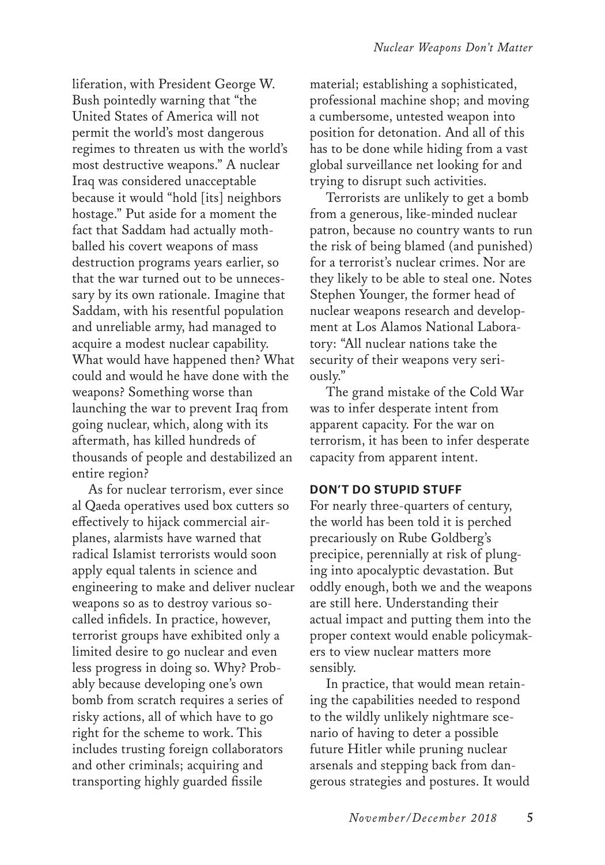liferation, with President George W. Bush pointedly warning that "the United States of America will not permit the world's most dangerous regimes to threaten us with the world's most destructive weapons." A nuclear Iraq was considered unacceptable because it would "hold [its] neighbors hostage." Put aside for a moment the fact that Saddam had actually mothballed his covert weapons of mass destruction programs years earlier, so that the war turned out to be unnecessary by its own rationale. Imagine that Saddam, with his resentful population and unreliable army, had managed to acquire a modest nuclear capability. What would have happened then? What could and would he have done with the weapons? Something worse than launching the war to prevent Iraq from going nuclear, which, along with its aftermath, has killed hundreds of thousands of people and destabilized an entire region?

As for nuclear terrorism, ever since al Qaeda operatives used box cutters so effectively to hijack commercial airplanes, alarmists have warned that radical Islamist terrorists would soon apply equal talents in science and engineering to make and deliver nuclear weapons so as to destroy various socalled infidels. In practice, however, terrorist groups have exhibited only a limited desire to go nuclear and even less progress in doing so. Why? Probably because developing one's own bomb from scratch requires a series of risky actions, all of which have to go right for the scheme to work. This includes trusting foreign collaborators and other criminals; acquiring and transporting highly guarded fissile

material; establishing a sophisticated, professional machine shop; and moving a cumbersome, untested weapon into position for detonation. And all of this has to be done while hiding from a vast global surveillance net looking for and trying to disrupt such activities.

Terrorists are unlikely to get a bomb from a generous, like-minded nuclear patron, because no country wants to run the risk of being blamed (and punished) for a terrorist's nuclear crimes. Nor are they likely to be able to steal one. Notes Stephen Younger, the former head of nuclear weapons research and development at Los Alamos National Laboratory: "All nuclear nations take the security of their weapons very seriously."

The grand mistake of the Cold War was to infer desperate intent from apparent capacity. For the war on terrorism, it has been to infer desperate capacity from apparent intent.

### **DON'T DO STUPID STUFF**

For nearly three-quarters of century, the world has been told it is perched precariously on Rube Goldberg's precipice, perennially at risk of plunging into apocalyptic devastation. But oddly enough, both we and the weapons are still here. Understanding their actual impact and putting them into the proper context would enable policymakers to view nuclear matters more sensibly.

In practice, that would mean retaining the capabilities needed to respond to the wildly unlikely nightmare scenario of having to deter a possible future Hitler while pruning nuclear arsenals and stepping back from dangerous strategies and postures. It would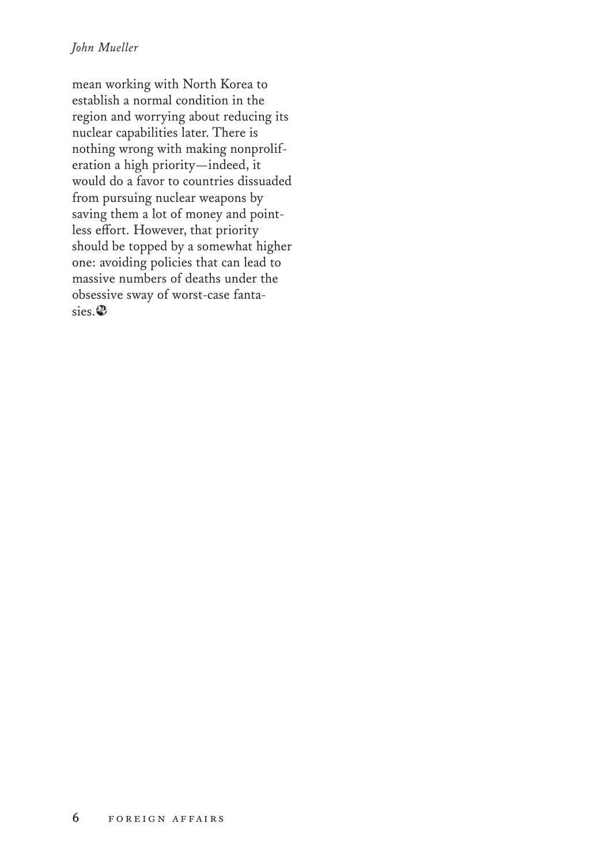### *John Mueller*

mean working with North Korea to establish a normal condition in the region and worrying about reducing its nuclear capabilities later. There is nothing wrong with making nonproliferation a high priority—indeed, it would do a favor to countries dissuaded from pursuing nuclear weapons by saving them a lot of money and pointless effort. However, that priority should be topped by a somewhat higher one: avoiding policies that can lead to massive numbers of deaths under the obsessive sway of worst-case fantasies.∂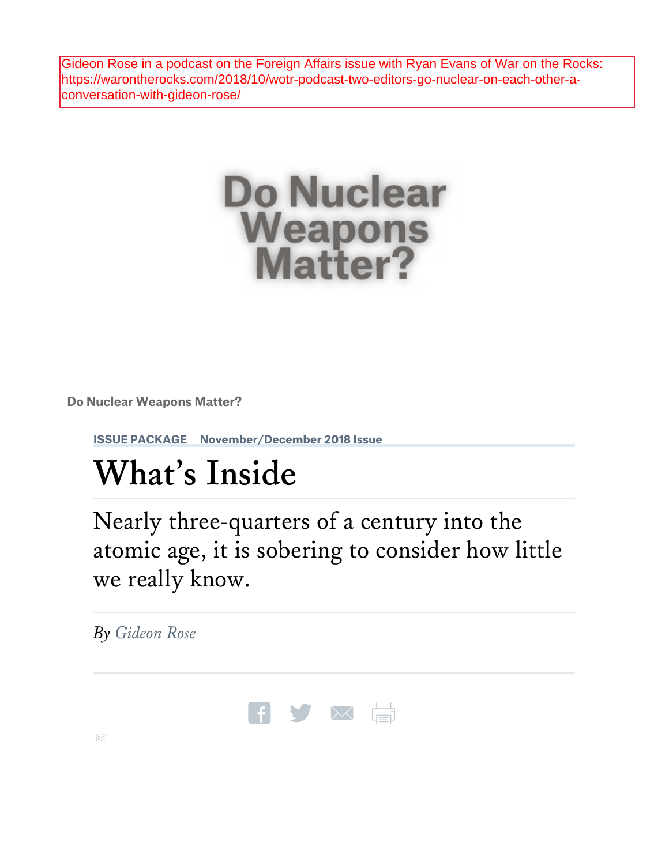Gideon Rose in a podcast on the Foreign Affairs issue with Ryan Evans of War on the Rocks: https://warontherocks.com/2018/10/wotr-podcast-two-editors-go-nuclear-on-each-other-aconversation-with-gideon-rose/



**Do Nuclear Weapons Matter?** 

**ISSUE PACKAGE November/December 2018 Issue** 

# **What's Inside**

Nearly three-quarters of a century into the atomic age, it is sobering to consider how little we really know.

*By Gideon Rose*

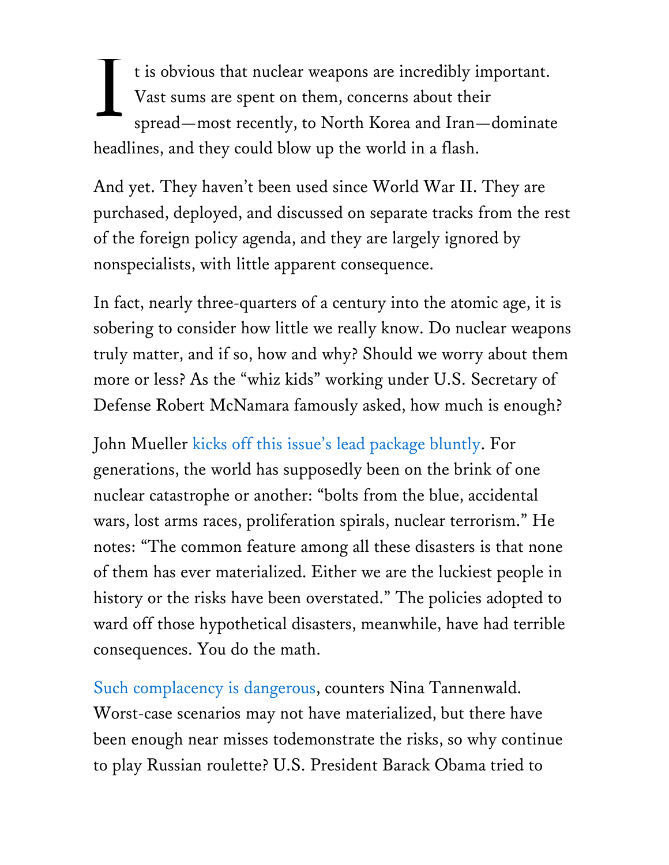It is obvious that nuclear weapons are incredibly important.<br>Vast sums are spent on them, concerns about their<br>spread—most recently, to North Korea and Iran—dominate Vast sums are spent on them, concerns about their spread—most recently, to North Korea and Iran—dominate headlines, and they could blow up the world in a flash.

And yet. They haven't been used since World War II. They are purchased, deployed, and discussed on separate tracks from the rest of the foreign policy agenda, and they are largely ignored by nonspecialists, with little apparent consequence.

In fact, nearly three-quarters of a century into the atomic age, it is sobering to consider how little we really know. Do nuclear weapons truly matter, and if so, how and why? Should we worry about them more or less? As the "whiz kids" working under U.S. Secretary of Defense Robert McNamara famously asked, how much is enough?

John Mueller kicks off this issue's lead package bluntly. For generations, the world has supposedly been on the brink of one nuclear catastrophe or another: "bolts from the blue, accidental wars, lost arms races, proliferation spirals, nuclear terrorism." He notes: "The common feature among all these disasters is that none of them has ever materialized. Either we are the luckiest people in history or the risks have been overstated." The policies adopted to ward off those hypothetical disasters, meanwhile, have had terrible consequences. You do the math.

Such complacency is dangerous, counters Nina Tannenwald. Worst-case scenarios may not have materialized, but there have been enough near misses todemonstrate the risks, so why continue to play Russian roulette? U.S. President Barack Obama tried to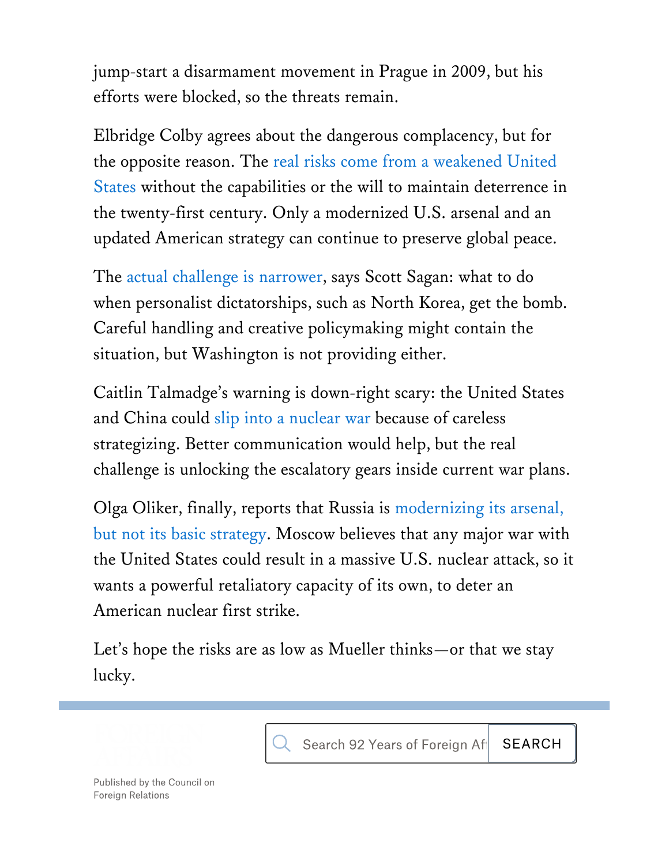jump-start a disarmament movement in Prague in 2009, but his efforts were blocked, so the threats remain.

Elbridge Colby agrees about the dangerous complacency, but for the opposite reason. The real risks come from a weakened United States without the capabilities or the will to maintain deterrence in the twenty-first century. Only a modernized U.S. arsenal and an updated American strategy can continue to preserve global peace.

The actual challenge is narrower, says Scott Sagan: what to do when personalist dictatorships, such as North Korea, get the bomb. Careful handling and creative policymaking might contain the situation, but Washington is not providing either.

Caitlin Talmadge's warning is down-right scary: the United States and China could slip into a nuclear war because of careless strategizing. Better communication would help, but the real challenge is unlocking the escalatory gears inside current war plans.

Olga Oliker, finally, reports that Russia is modernizing its arsenal, but not its basic strategy. Moscow believes that any major war with the United States could result in a massive U.S. nuclear attack, so it wants a powerful retaliatory capacity of its own, to deter an American nuclear first strike.

Let's hope the risks are as low as Mueller thinks—or that we stay lucky.



Published by the Council on **Foreign Relations**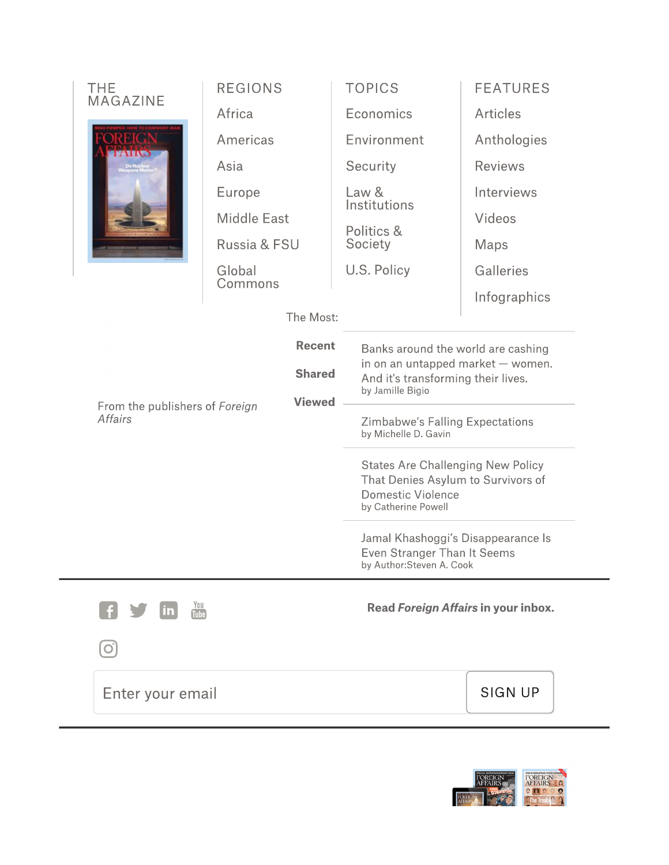| <b>THE</b><br><b>MAGAZINE</b>                                                                       | <b>REGIONS</b>     | <b>TOPICS</b>                                                                                                                       | <b>FEATURES</b> |                                                                                                                                   |  |
|-----------------------------------------------------------------------------------------------------|--------------------|-------------------------------------------------------------------------------------------------------------------------------------|-----------------|-----------------------------------------------------------------------------------------------------------------------------------|--|
|                                                                                                     | Africa             | Economics                                                                                                                           | <b>Articles</b> |                                                                                                                                   |  |
|                                                                                                     | Americas           | Environment                                                                                                                         | Anthologies     |                                                                                                                                   |  |
|                                                                                                     | Asia               | Security                                                                                                                            | <b>Reviews</b>  |                                                                                                                                   |  |
|                                                                                                     | Europe             | Law &                                                                                                                               | Interviews      |                                                                                                                                   |  |
|                                                                                                     | <b>Middle East</b> | Institutions<br>Politics &<br>Society                                                                                               | Videos          |                                                                                                                                   |  |
|                                                                                                     | Russia & FSU       |                                                                                                                                     | Maps            |                                                                                                                                   |  |
|                                                                                                     | Global             | U.S. Policy                                                                                                                         | Galleries       |                                                                                                                                   |  |
|                                                                                                     | Commons            |                                                                                                                                     | Infographics    |                                                                                                                                   |  |
| The Most:                                                                                           |                    |                                                                                                                                     |                 |                                                                                                                                   |  |
| <b>Recent</b><br><b>Shared</b><br><b>Viewed</b><br>From the publishers of Foreign<br><b>Affairs</b> |                    | Banks around the world are cashing<br>in on an untapped market $-$ women.<br>And it's transforming their lives.<br>by Jamille Bigio |                 |                                                                                                                                   |  |
|                                                                                                     |                    |                                                                                                                                     |                 | <b>Zimbabwe's Falling Expectations</b><br>by Michelle D. Gavin                                                                    |  |
|                                                                                                     |                    |                                                                                                                                     |                 | <b>States Are Challenging New Policy</b><br>That Denies Asylum to Survivors of<br><b>Domestic Violence</b><br>by Catherine Powell |  |
|                                                                                                     |                    |                                                                                                                                     |                 | Jamal Khashoggi's Disappearance Is<br><b>Even Stranger Than It Seems</b><br>by Author:Steven A. Cook                              |  |
|                                                                                                     |                    | You<br><u>in</u><br><b>Tube</b>                                                                                                     |                 | Read Foreign Affairs in your inbox.                                                                                               |  |
|                                                                                                     |                    |                                                                                                                                     |                 |                                                                                                                                   |  |
| Enter your email                                                                                    |                    |                                                                                                                                     | <b>SIGN UP</b>  |                                                                                                                                   |  |

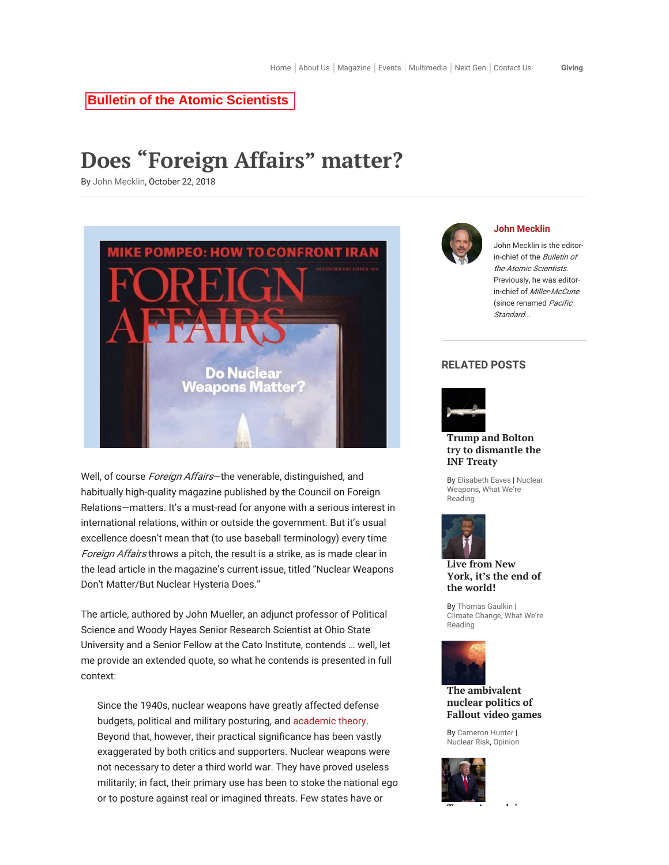### **Bulletin of the Atomic Scientists**

# Does "Foreign Affairs" matter?

By John Mecklin, October 22, 2018



Well, of course *Foreign Affairs*—the venerable, distinguished, and habitually high-quality magazine published by the Council on Foreign Relations—matters. It's a must-read for anyone with a serious interest in international relations, within or outside the government. But it's usual excellence doesn't mean that (to use baseball terminology) every time Foreign Affairs throws a pitch, the result is a strike, as is made clear in the lead article in the magazine's current issue, titled "Nuclear Weapons Don't Matter/But Nuclear Hysteria Does."

The article, authored by John Mueller, an adjunct professor of Political Science and Woody Hayes Senior Research Scientist at Ohio State University and a Senior Fellow at the Cato Institute, contends … well, let me provide an extended quote, so what he contends is presented in full context:

Since the 1940s, nuclear weapons have greatly affected defense budgets, political and military posturing, and academic theory. Beyond that, however, their practical significance has been vastly exaggerated by both critics and supporters. Nuclear weapons were not necessary to deter a third world war. They have proved useless militarily; in fact, their primary use has been to stoke the national ego or to posture against real or imagined threats. Few states have or



#### John Mecklin

John Mecklin is the editorin-chief of the Bulletin of the Atomic Scientists. Previously, he was editorin-chief of Miller-McCune (since renamed Pacific Standard...

### RELATED POSTS



### Trump and Bolton try to dismantle the INF Treaty

By Elisabeth Eaves | Nuclear Weapons, What We're Reading



Live from New York, it's the end of the world!

By Thomas Gaulkin | Climate Change, What We're Reading



### The ambivalent nuclear politics of Fallout video games

By Cameron Hunter | Nuclear Risk, Opinion

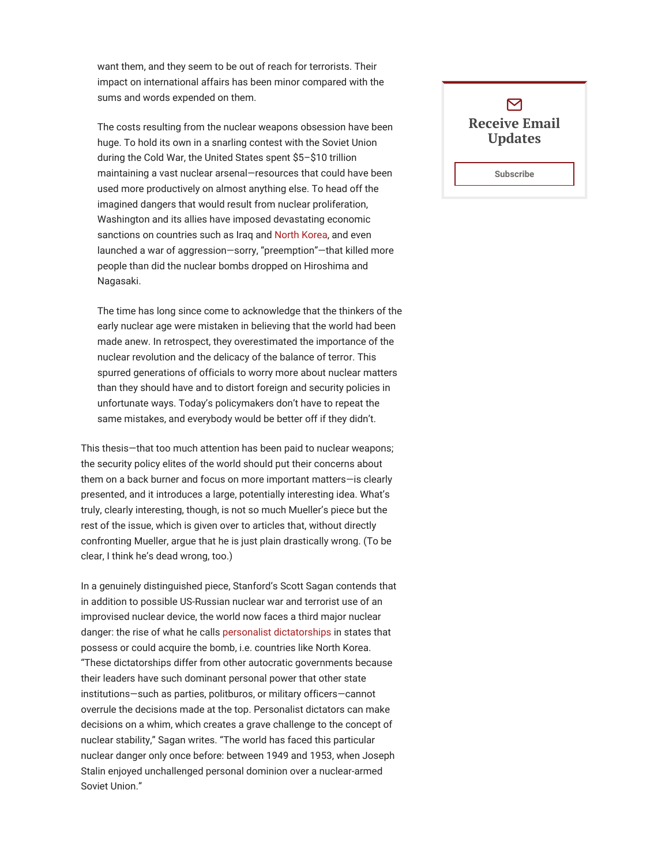want them, and they seem to be out of reach for terrorists. Their impact on international affairs has been minor compared with the sums and words expended on them.

The costs resulting from the nuclear weapons obsession have been huge. To hold its own in a snarling contest with the Soviet Union during the Cold War, the United States spent \$5–\$10 trillion maintaining a vast nuclear arsenal—resources that could have been used more productively on almost anything else. To head off the imagined dangers that would result from nuclear proliferation, Washington and its allies have imposed devastating economic sanctions on countries such as Iraq and North Korea, and even launched a war of aggression—sorry, "preemption"—that killed more people than did the nuclear bombs dropped on Hiroshima and Nagasaki.

The time has long since come to acknowledge that the thinkers of the early nuclear age were mistaken in believing that the world had been made anew. In retrospect, they overestimated the importance of the nuclear revolution and the delicacy of the balance of terror. This spurred generations of officials to worry more about nuclear matters than they should have and to distort foreign and security policies in unfortunate ways. Today's policymakers don't have to repeat the same mistakes, and everybody would be better off if they didn't.

This thesis—that too much attention has been paid to nuclear weapons; the security policy elites of the world should put their concerns about them on a back burner and focus on more important matters—is clearly presented, and it introduces a large, potentially interesting idea. What's truly, clearly interesting, though, is not so much Mueller's piece but the rest of the issue, which is given over to articles that, without directly confronting Mueller, argue that he is just plain drastically wrong. (To be clear, I think he's dead wrong, too.)

In a genuinely distinguished piece, Stanford's Scott Sagan contends that in addition to possible US-Russian nuclear war and terrorist use of an improvised nuclear device, the world now faces a third major nuclear danger: the rise of what he calls personalist dictatorships in states that possess or could acquire the bomb, i.e. countries like North Korea. "These dictatorships differ from other autocratic governments because their leaders have such dominant personal power that other state institutions—such as parties, politburos, or military officers—cannot overrule the decisions made at the top. Personalist dictators can make decisions on a whim, which creates a grave challenge to the concept of nuclear stability," Sagan writes. "The world has faced this particular nuclear danger only once before: between 1949 and 1953, when Joseph Stalin enjoyed unchallenged personal dominion over a nuclear-armed Soviet Union."

### $\triangleright$ Receive Email Updates

Subscribe